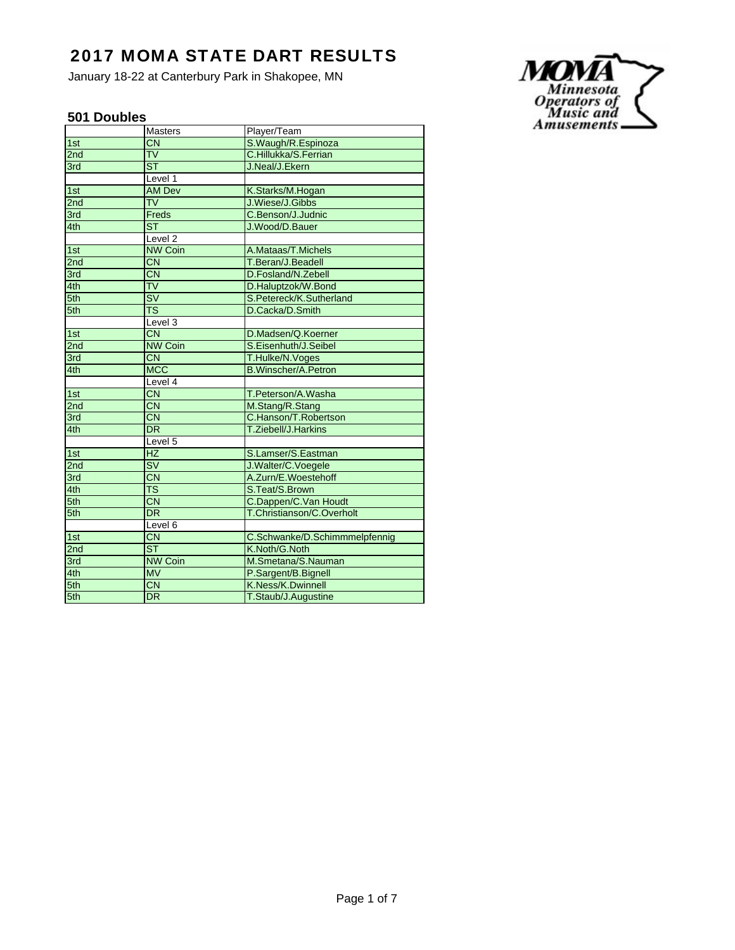January 18-22 at Canterbury Park in Shakopee, MN

### **501 Doubles**

|                 | <b>Masters</b>           | Player/Team                   |
|-----------------|--------------------------|-------------------------------|
| 1st             | $\overline{\text{CN}}$   | S.Waugh/R.Espinoza            |
| 2nd             | $\overline{\mathsf{TV}}$ | C.Hillukka/S.Ferrian          |
| 3rd             | $\overline{\text{ST}}$   | J.Neal/J.Ekern                |
|                 | Level 1                  |                               |
| 1st             | <b>AM Dev</b>            | K.Starks/M.Hogan              |
| 2 <sub>nd</sub> | <b>TV</b>                | J.Wiese/J.Gibbs               |
| 3rd             | Freds                    | C.Benson/J.Judnic             |
| 4th             | $\overline{\mathsf{ST}}$ | J.Wood/D.Bauer                |
|                 | Level <sub>2</sub>       |                               |
| 1st             | <b>NW Coin</b>           | A.Mataas/T.Michels            |
| 2nd             | $\overline{\text{CN}}$   | T.Beran/J.Beadell             |
| 3rd             | $\overline{\text{CN}}$   | D.Fosland/N.Zebell            |
| 4th             | $\overline{\mathsf{TV}}$ | D.Haluptzok/W.Bond            |
| 5th             | $\overline{\mathsf{SV}}$ | S.Petereck/K.Sutherland       |
| 5th             | $\overline{\text{TS}}$   | D.Cacka/D.Smith               |
|                 | Level 3                  |                               |
| 1st             | $\overline{\text{CN}}$   | D.Madsen/Q.Koerner            |
| 2nd             | <b>NW Coin</b>           | S.Eisenhuth/J.Seibel          |
| 3rd             | <b>CN</b>                | T.Hulke/N.Voges               |
| 4th             | <b>MCC</b>               | <b>B.Winscher/A.Petron</b>    |
|                 | Level 4                  |                               |
| 1st             | <b>CN</b>                | T.Peterson/A.Washa            |
| 2nd             | <b>CN</b>                | M.Stang/R.Stang               |
| 3rd             | $\overline{\text{CN}}$   | C.Hanson/T.Robertson          |
| 4th             | $\overline{DR}$          | T.Ziebell/J.Harkins           |
|                 | Level 5                  |                               |
| 1st             | <b>HZ</b>                | S.Lamser/S.Eastman            |
| 2 <sub>nd</sub> | <b>SV</b>                | J.Walter/C.Voegele            |
| 3rd             | $\overline{\text{CN}}$   | A.Zurn/E.Woestehoff           |
| 4th             | $\overline{\text{TS}}$   | S.Teat/S.Brown                |
| 5th             | $\overline{\text{CN}}$   | C.Dappen/C.Van Houdt          |
| 5th             | <b>DR</b>                | T.Christianson/C.Overholt     |
|                 | Level 6                  |                               |
| 1st             | <b>CN</b>                | C.Schwanke/D.Schimmmelpfennig |
| 2 <sub>nd</sub> | $\overline{\text{ST}}$   | K.Noth/G.Noth                 |
| 3rd             | <b>NW Coin</b>           | M.Smetana/S.Nauman            |
| 4th             | <b>MV</b>                | P.Sargent/B.Bignell           |
| 5th             | $\overline{\text{CN}}$   | K.Ness/K.Dwinnell             |
| 5th             | $\overline{\mathsf{DR}}$ | T.Staub/J.Augustine           |

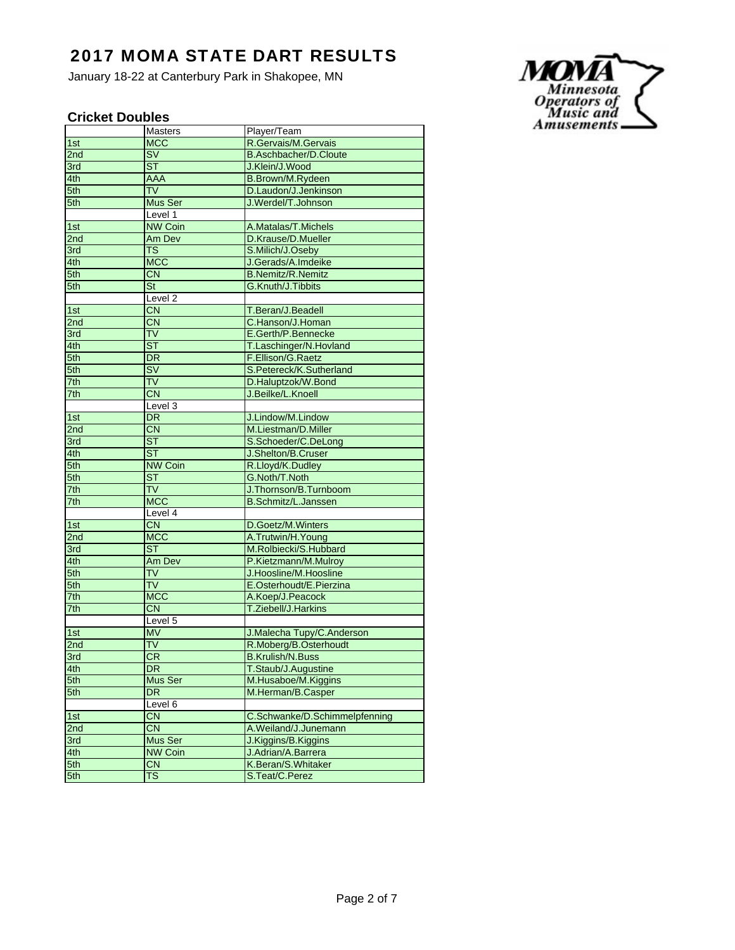January 18-22 at Canterbury Park in Shakopee, MN

### **Cricket Doubles**

|     | Masters                  | Player/Team                   |
|-----|--------------------------|-------------------------------|
| 1st | <b>MCC</b>               | R.Gervais/M.Gervais           |
| 2nd | $\overline{\mathsf{SV}}$ | <b>B.Aschbacher/D.Cloute</b>  |
| 3rd | ST                       | J.Klein/J.Wood                |
| 4th | AAA                      | <b>B.Brown/M.Rydeen</b>       |
| 5th | $\overline{\mathsf{TV}}$ | D.Laudon/J.Jenkinson          |
| 5th | Mus Ser                  | J.Werdel/T.Johnson            |
|     | Level 1                  |                               |
| 1st | <b>NW Coin</b>           | A.Matalas/T.Michels           |
| 2nd | Am Dev                   | D.Krause/D.Mueller            |
| 3rd | <b>TS</b>                | S.Milich/J.Oseby              |
| 4th | <b>MCC</b>               | J.Gerads/A.Imdeike            |
| 5th | $\overline{\text{CN}}$   | <b>B.Nemitz/R.Nemitz</b>      |
| 5th | <b>St</b>                | G.Knuth/J.Tibbits             |
|     | Level <sub>2</sub>       |                               |
| 1st | $\overline{\text{CN}}$   | T.Beran/J.Beadell             |
| 2nd | <b>CN</b>                | C.Hanson/J.Homan              |
| 3rd | TV                       | E.Gerth/P.Bennecke            |
| 4th | $\overline{\text{ST}}$   | T.Laschinger/N.Hovland        |
| 5th | $\overline{DR}$          | F.Ellison/G.Raetz             |
| 5th | SV                       | S.Petereck/K.Sutherland       |
| 7th | <b>TV</b>                | D.Haluptzok/W.Bond            |
| 7th | $\overline{\text{CN}}$   | J.Beilke/L.Knoell             |
|     | Level 3                  |                               |
| 1st | <b>DR</b>                | J.Lindow/M.Lindow             |
| 2nd | <b>CN</b>                | M.Liestman/D.Miller           |
| 3rd | ST                       | S.Schoeder/C.DeLong           |
| 4th | $\overline{\text{ST}}$   | J.Shelton/B.Cruser            |
| 5th | <b>NW Coin</b>           | R.Lloyd/K.Dudley              |
| 5th | <b>ST</b>                | G.Noth/T.Noth                 |
| 7th | $\overline{\mathsf{TV}}$ | J. Thornson/B. Turnboom       |
| 7th | <b>MCC</b>               | B.Schmitz/L.Janssen           |
|     | Level 4                  |                               |
| 1st | CN                       | D.Goetz/M.Winters             |
| 2nd | <b>MCC</b>               | A.Trutwin/H.Young             |
| 3rd | ST                       | M.Rolbiecki/S.Hubbard         |
| 4th | Am Dev                   | P.Kietzmann/M.Mulroy          |
| 5th | <b>TV</b>                | J.Hoosline/M.Hoosline         |
| 5th | <b>TV</b>                | E.Osterhoudt/E.Pierzina       |
| 7th | <b>MCC</b>               | A.Koep/J.Peacock              |
| 7th | $\overline{\text{CN}}$   | T.Ziebell/J.Harkins           |
|     | Level 5                  |                               |
| 1st | <b>MV</b>                | J.Malecha Tupy/C.Anderson     |
| 2nd | <b>TV</b>                | R.Moberg/B.Osterhoudt         |
| 3rd | CR                       | <b>B.Krulish/N.Buss</b>       |
| 4th | DR                       | T.Staub/J.Augustine           |
| 5th | Mus Ser                  | M.Husaboe/M.Kiggins           |
| 5th | DR                       | M.Herman/B.Casper             |
|     | Level 6                  |                               |
| 1st | CN                       | C.Schwanke/D.Schimmelpfenning |
| 2nd | <b>CN</b>                | A.Weiland/J.Junemann          |
| 3rd | Mus Ser                  | J.Kiggins/B.Kiggins           |
| 4th | <b>NW Coin</b>           | J.Adrian/A.Barrera            |
| 5th | <b>CN</b>                | K.Beran/S.Whitaker            |
| 5th | $\overline{\mathsf{TS}}$ | S.Teat/C.Perez                |
|     |                          |                               |

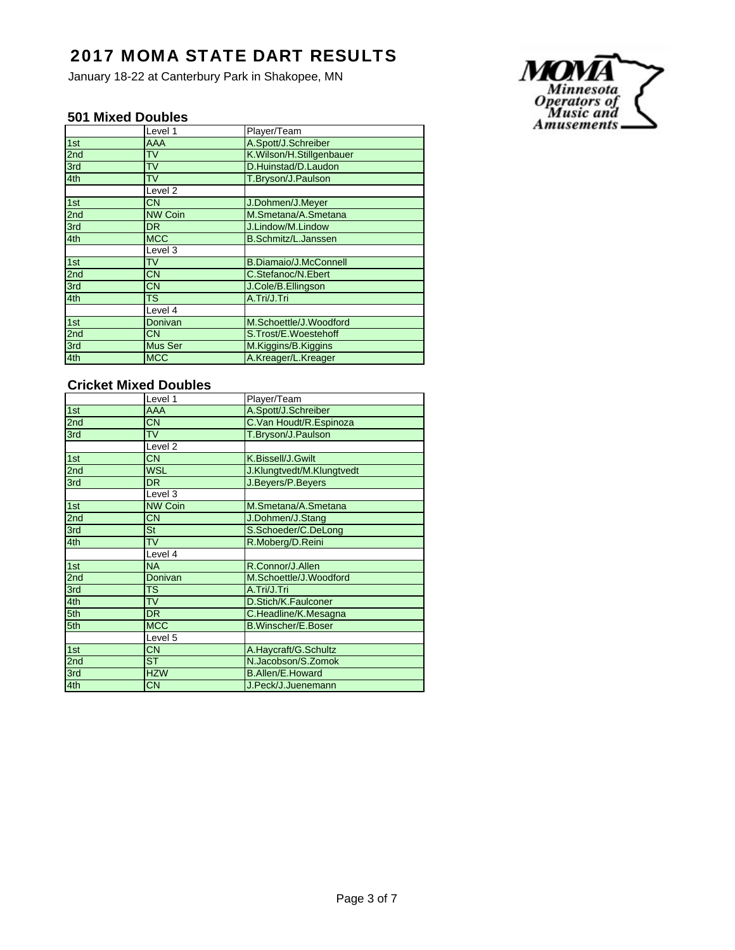January 18-22 at Canterbury Park in Shakopee, MN

#### **501 Mixed Doubles**

|                 | Level 1        | Player/Team                  |
|-----------------|----------------|------------------------------|
| 1st             | AAA            | A.Spott/J.Schreiber          |
| 2 <sub>nd</sub> | TV             | K.Wilson/H.Stillgenbauer     |
| 3rd             | <b>TV</b>      | D.Huinstad/D.Laudon          |
| 4th             | TV             | T.Bryson/J.Paulson           |
|                 | Level 2        |                              |
| 1st             | CN.            | J.Dohmen/J.Meyer             |
| 2 <sub>nd</sub> | <b>NW Coin</b> | M.Smetana/A.Smetana          |
| 3rd             | DR             | J.Lindow/M.Lindow            |
| 4th             | <b>MCC</b>     | <b>B.Schmitz/L.Janssen</b>   |
|                 | Level 3        |                              |
| 1st             | TV             | <b>B.Diamaio/J.McConnell</b> |
| 2 <sub>nd</sub> | <b>CN</b>      | C.Stefanoc/N.Ebert           |
| 3rd             | СN             | J.Cole/B.Ellingson           |
| 4th             | TS             | A.Tri/J.Tri                  |
|                 | Level 4        |                              |
| 1st             | Donivan        | M.Schoettle/J.Woodford       |
| 2 <sub>nd</sub> | СN             | S.Trost/E.Woestehoff         |
| 3rd             | Mus Ser        | M.Kiggins/B.Kiggins          |
| 4th             | <b>MCC</b>     | A.Kreager/L.Kreager          |

### **Cricket Mixed Doubles**

|     | Level 1                | Player/Team               |
|-----|------------------------|---------------------------|
| 1st | AAA                    | A.Spott/J.Schreiber       |
| 2nd | <b>CN</b>              | C.Van Houdt/R.Espinoza    |
| 3rd | <b>TV</b>              | T.Bryson/J.Paulson        |
|     | Level <sub>2</sub>     |                           |
| 1st | <b>CN</b>              | K.Bissell/J.Gwilt         |
| 2nd | <b>WSL</b>             | J.Klungtvedt/M.Klungtvedt |
| 3rd | <b>DR</b>              | J.Beyers/P.Beyers         |
|     | Level 3                |                           |
| 1st | <b>NW Coin</b>         | M.Smetana/A.Smetana       |
| 2nd | <b>CN</b>              | J.Dohmen/J.Stang          |
| 3rd | <b>St</b>              | S.Schoeder/C.DeLong       |
| 4th | <b>TV</b>              | R.Moberg/D.Reini          |
|     | Level 4                |                           |
| 1st | <b>NA</b>              | R.Connor/J.Allen          |
| 2nd | Donivan                | M.Schoettle/J.Woodford    |
| 3rd | <b>TS</b>              | A.Tri/J.Tri               |
| 4th | <b>TV</b>              | D.Stich/K.Faulconer       |
| 5th | <b>DR</b>              | C.Headline/K.Mesagna      |
| 5th | <b>MCC</b>             | <b>B.Winscher/E.Boser</b> |
|     | Level 5                |                           |
| 1st | <b>CN</b>              | A.Haycraft/G.Schultz      |
| 2nd | $\overline{\text{ST}}$ | N.Jacobson/S.Zomok        |
| 3rd | <b>HZW</b>             | <b>B.Allen/E.Howard</b>   |
| 4th | <b>CN</b>              | J.Peck/J.Juenemann        |

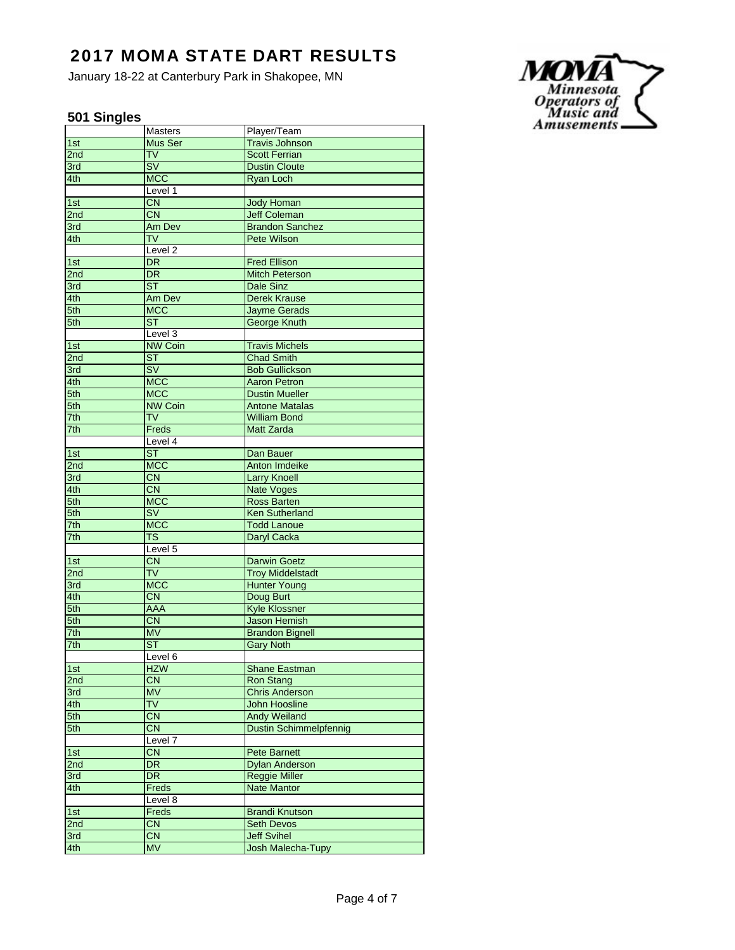January 18-22 at Canterbury Park in Shakopee, MN

### **501 Singles**

|                  | Masters                  | Player/Team                   |
|------------------|--------------------------|-------------------------------|
| 1st              | Mus Ser                  | <b>Travis Johnson</b>         |
| 2nd              | <b>TV</b>                | <b>Scott Ferrian</b>          |
| 3rd              | $\overline{\mathsf{SV}}$ | <b>Dustin Cloute</b>          |
| 4th              | <b>MCC</b>               | Ryan Loch                     |
|                  | Level 1                  |                               |
| 1st              | <b>CN</b>                | <b>Jody Homan</b>             |
| 2nd              | $\overline{\text{CN}}$   | <b>Jeff Coleman</b>           |
| 3rd              | Am Dev                   | <b>Brandon Sanchez</b>        |
| 4th              | TV                       | Pete Wilson                   |
|                  | Level <sub>2</sub>       |                               |
| 1st              | <b>DR</b>                | <b>Fred Ellison</b>           |
| 2nd              | <b>DR</b>                | <b>Mitch Peterson</b>         |
| 3rd              | $\overline{\text{ST}}$   | Dale Sinz                     |
| 4th              | Am Dev                   | <b>Derek Krause</b>           |
| 5th              | <b>MCC</b>               | <b>Jayme Gerads</b>           |
| 5th              | ST.                      | George Knuth                  |
|                  | Level 3                  |                               |
| 1st              | <b>NW Coin</b>           | <b>Travis Michels</b>         |
| 2nd              | <b>ST</b>                | <b>Chad Smith</b>             |
| 3rd              | $\overline{\mathsf{SV}}$ | <b>Bob Gullickson</b>         |
| 4th              | <b>MCC</b>               | <b>Aaron Petron</b>           |
| 5th              | <b>MCC</b>               | <b>Dustin Mueller</b>         |
|                  | <b>NW Coin</b>           |                               |
| 5th<br>7th       | <b>TV</b>                | <b>Antone Matalas</b>         |
|                  |                          | William Bond                  |
| 7th              | Freds                    | <b>Matt Zarda</b>             |
|                  | Level 4                  |                               |
| 1st              | $\overline{\text{ST}}$   | Dan Bauer                     |
| 2nd              | <b>MCC</b>               | Anton Imdeike                 |
| 3rd              | <b>CN</b>                | <b>Larry Knoell</b>           |
| 4th              | <b>CN</b>                | <b>Nate Voges</b>             |
| 5th              | <b>MCC</b>               | <b>Ross Barten</b>            |
| 5th              | <b>SV</b>                | <b>Ken Sutherland</b>         |
| 7th              | <b>MCC</b>               | <b>Todd Lanoue</b>            |
| 7th              | <b>TS</b>                | Daryl Cacka                   |
|                  | Level 5                  |                               |
| $\overline{1st}$ | <b>CN</b>                | <b>Darwin Goetz</b>           |
| 2nd              | <b>TV</b>                | <b>Troy Middelstadt</b>       |
| 3rd              | <b>MCC</b>               | <b>Hunter Young</b>           |
| 4th              | <b>CN</b>                | Doug Burt                     |
| 5th              | <b>AAA</b>               | <b>Kyle Klossner</b>          |
| 5th              | <b>CN</b>                | <b>Jason Hemish</b>           |
| 7th              | <b>MV</b>                | <b>Brandon Bignell</b>        |
| 7th              | <b>ST</b>                | <b>Gary Noth</b>              |
|                  | Level 6                  |                               |
| 1st              | <b>HZW</b>               | Shane Eastman                 |
| 2nd              | <b>CN</b>                | Ron Stang                     |
| 3rd              | <b>MV</b>                | <b>Chris Anderson</b>         |
| 4th              | <b>TV</b>                | John Hoosline                 |
| 5th              | $\overline{\text{CN}}$   | <b>Andy Weiland</b>           |
| 5th              | <b>CN</b>                | <b>Dustin Schimmelpfennig</b> |
|                  | Level 7                  |                               |
| 1st              | <b>CN</b>                | <b>Pete Barnett</b>           |
| 2nd              | <b>DR</b>                | <b>Dylan Anderson</b>         |
| 3rd              | DR.                      | <b>Reggie Miller</b>          |
| 4th              | Freds                    | <b>Nate Mantor</b>            |
|                  | Level 8                  |                               |
| 1st              | Freds                    | <b>Brandi Knutson</b>         |
| 2nd              | <b>CN</b>                | <b>Seth Devos</b>             |
| 3rd              | <b>CN</b>                | <b>Jeff Svihel</b>            |
| 4th              | <b>MV</b>                | Josh Malecha-Tupy             |
|                  |                          |                               |

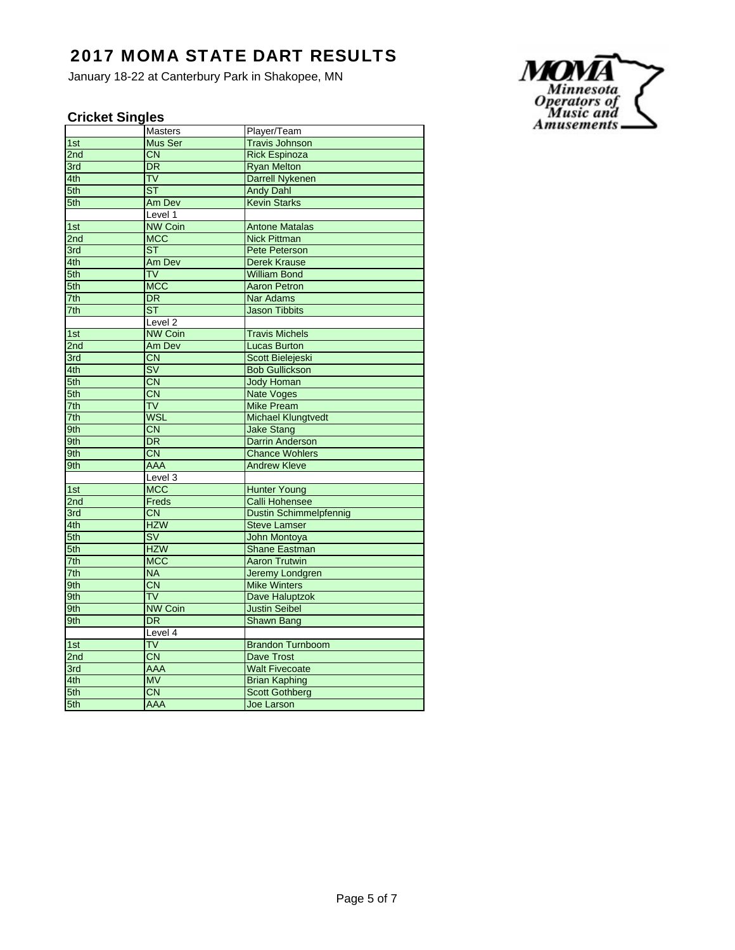January 18-22 at Canterbury Park in Shakopee, MN

### **Cricket Singles**

|     | Masters                  | Player/Team                   |
|-----|--------------------------|-------------------------------|
| 1st | Mus Ser                  | <b>Travis Johnson</b>         |
| 2nd | <b>CN</b>                | <b>Rick Espinoza</b>          |
| 3rd | DR.                      | <b>Ryan Melton</b>            |
| 4th | <b>TV</b>                | <b>Darrell Nykenen</b>        |
| 5th | <b>ST</b>                | <b>Andy Dahl</b>              |
| 5th | Am Dev                   | <b>Kevin Starks</b>           |
|     | Level 1                  |                               |
| 1st | <b>NW Coin</b>           | <b>Antone Matalas</b>         |
| 2nd | <b>MCC</b>               | <b>Nick Pittman</b>           |
| 3rd | <b>ST</b>                | Pete Peterson                 |
| 4th | Am Dev                   | <b>Derek Krause</b>           |
| 5th | TV                       | <b>William Bond</b>           |
| 5th | <b>MCC</b>               | <b>Aaron Petron</b>           |
| 7th | <b>DR</b>                | <b>Nar Adams</b>              |
| 7th | $\overline{\text{ST}}$   | <b>Jason Tibbits</b>          |
|     | $L$ evel $2$             |                               |
| 1st | <b>NW Coin</b>           | <b>Travis Michels</b>         |
| 2nd | Am Dev                   | <b>Lucas Burton</b>           |
| 3rd | <b>CN</b>                | Scott Bielejeski              |
| 4th | $\overline{\mathsf{SV}}$ | <b>Bob Gullickson</b>         |
| 5th | <b>CN</b>                | <b>Jody Homan</b>             |
| 5th | <b>CN</b>                | <b>Nate Voges</b>             |
| 7th | <b>TV</b>                | <b>Mike Pream</b>             |
| 7th | <b>WSL</b>               | <b>Michael Klungtvedt</b>     |
| 9th | <b>CN</b>                | <b>Jake Stang</b>             |
| 9th | <b>DR</b>                | <b>Darrin Anderson</b>        |
| 9th | $\overline{\text{CN}}$   | <b>Chance Wohlers</b>         |
| 9th | AAA                      | <b>Andrew Kleve</b>           |
|     | Level <sub>3</sub>       |                               |
| 1st | <b>MCC</b>               | <b>Hunter Young</b>           |
| 2nd | Freds                    | <b>Calli Hohensee</b>         |
| 3rd | <b>CN</b>                | <b>Dustin Schimmelpfennig</b> |
| 4th | <b>HZW</b>               | <b>Steve Lamser</b>           |
| 5th | $\overline{\mathsf{sv}}$ | <b>John Montoya</b>           |
| 5th | <b>HZW</b>               | <b>Shane Eastman</b>          |
| 7th | <b>MCC</b>               | <b>Aaron Trutwin</b>          |
| 7th | <b>NA</b>                | <b>Jeremy Londgren</b>        |
| 9th | $\overline{\text{CN}}$   | <b>Mike Winters</b>           |
| 9th | <b>TV</b>                | Dave Haluptzok                |
| 9th | <b>NW Coin</b>           | <b>Justin Seibel</b>          |
| 9th | <b>DR</b>                | <b>Shawn Bang</b>             |
|     | Level 4                  |                               |
| 1st | <b>TV</b>                | <b>Brandon Turnboom</b>       |
| 2nd | $\overline{\text{CN}}$   | <b>Dave Trost</b>             |
| 3rd | <b>AAA</b>               | <b>Walt Fivecoate</b>         |
| 4th | <b>MV</b>                | <b>Brian Kaphing</b>          |
| 5th | <b>CN</b>                | <b>Scott Gothberg</b>         |
| 5th | <b>AAA</b>               | Joe Larson                    |

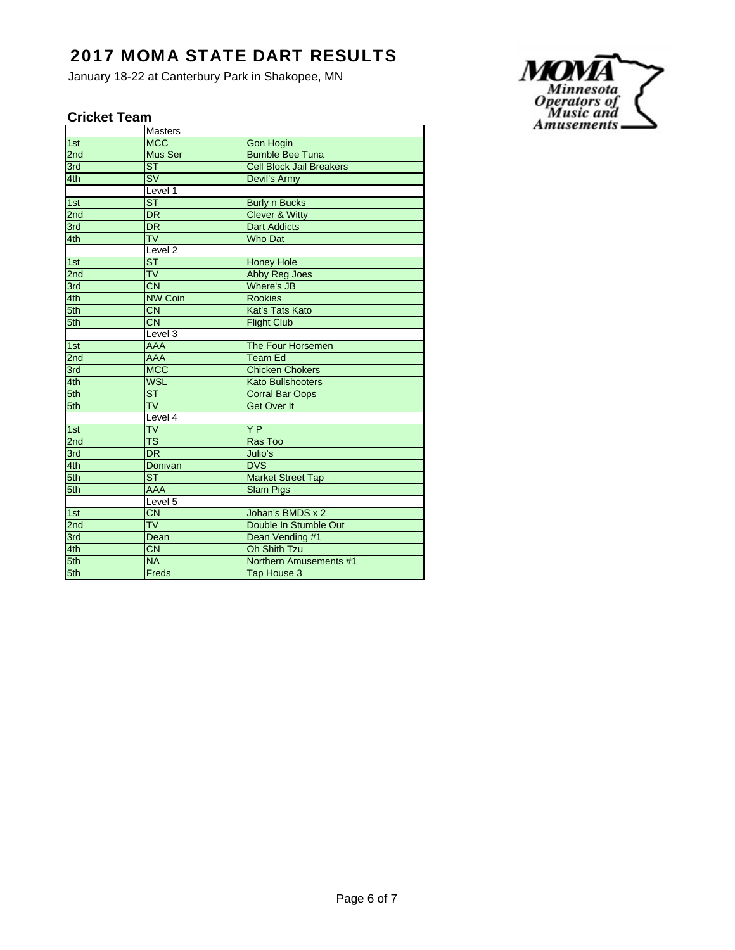January 18-22 at Canterbury Park in Shakopee, MN

### **Cricket Team**

|                 | <b>Masters</b>                    |                                 |
|-----------------|-----------------------------------|---------------------------------|
| 1st             | <b>MCC</b>                        | <b>Gon Hogin</b>                |
| 2nd             | Mus Ser                           | <b>Bumble Bee Tuna</b>          |
| 3rd             | <b>ST</b>                         | <b>Cell Block Jail Breakers</b> |
| 4th             | $\overline{\mathsf{S}\mathsf{V}}$ | Devil's Army                    |
|                 | Level 1                           |                                 |
| 1st             | $\overline{\text{ST}}$            | <b>Burly n Bucks</b>            |
| 2nd             | $\overline{\mathsf{DR}}$          | <b>Clever &amp; Witty</b>       |
| 3rd             | $\overline{\mathsf{DR}}$          | <b>Dart Addicts</b>             |
| 4th             | $\overline{\mathsf{TV}}$          | <b>Who Dat</b>                  |
|                 | Level <sub>2</sub>                |                                 |
| 1st             | $\overline{\text{ST}}$            | <b>Honey Hole</b>               |
| 2 <sub>nd</sub> | $\overline{\mathsf{TV}}$          | Abby Reg Joes                   |
| 3rd             | $\overline{CN}$                   | <b>Where's JB</b>               |
| 4th             | <b>NW Coin</b>                    | <b>Rookies</b>                  |
| 5th             | $\overline{\text{CN}}$            | Kat's Tats Kato                 |
| 5th             | <b>CN</b>                         | <b>Flight Club</b>              |
|                 | Level 3                           |                                 |
| 1st             | <b>AAA</b>                        | The Four Horsemen               |
| 2nd             | <b>AAA</b>                        | <b>Team Ed</b>                  |
| 3rd             | <b>MCC</b>                        | <b>Chicken Chokers</b>          |
| 4th             | <b>WSL</b>                        | <b>Kato Bullshooters</b>        |
| 5th             | $\overline{\text{ST}}$            | <b>Corral Bar Oops</b>          |
| 5th             | $\overline{\mathsf{TV}}$          | <b>Get Over It</b>              |
|                 | Level 4                           |                                 |
| 1st             | $\overline{\mathsf{TV}}$          | YP                              |
| 2nd             | $\overline{\text{TS}}$            | Ras Too                         |
| 3rd             | DR                                | Julio's                         |
| 4th             | Donivan                           | <b>DVS</b>                      |
| 5th             | $\overline{\mathsf{ST}}$          | <b>Market Street Tap</b>        |
| 5th             | <b>AAA</b>                        | <b>Slam Pigs</b>                |
|                 | Level 5                           |                                 |
| 1st             | $\overline{CN}$                   | Johan's BMDS x 2                |
| 2 <sub>nd</sub> | $\overline{\mathsf{TV}}$          | Double In Stumble Out           |
| 3rd             | Dean                              | Dean Vending #1                 |
| 4th             | $\overline{\text{CN}}$            | <b>Oh Shith Tzu</b>             |
| 5th             | <b>NA</b>                         | Northern Amusements #1          |
| 5th             | Freds                             | Tap House 3                     |